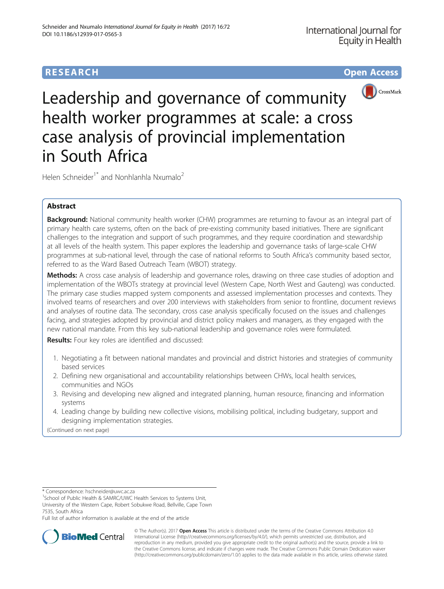# **RESEARCH CHE Open Access**



Leadership and governance of community health worker programmes at scale: a cross case analysis of provincial implementation in South Africa

Helen Schneider<sup>1\*</sup> and Nonhlanhla Nxumalo<sup>2</sup>

## Abstract

Background: National community health worker (CHW) programmes are returning to favour as an integral part of primary health care systems, often on the back of pre-existing community based initiatives. There are significant challenges to the integration and support of such programmes, and they require coordination and stewardship at all levels of the health system. This paper explores the leadership and governance tasks of large-scale CHW programmes at sub-national level, through the case of national reforms to South Africa's community based sector, referred to as the Ward Based Outreach Team (WBOT) strategy.

Methods: A cross case analysis of leadership and governance roles, drawing on three case studies of adoption and implementation of the WBOTs strategy at provincial level (Western Cape, North West and Gauteng) was conducted. The primary case studies mapped system components and assessed implementation processes and contexts. They involved teams of researchers and over 200 interviews with stakeholders from senior to frontline, document reviews and analyses of routine data. The secondary, cross case analysis specifically focused on the issues and challenges facing, and strategies adopted by provincial and district policy makers and managers, as they engaged with the new national mandate. From this key sub-national leadership and governance roles were formulated.

Results: Four key roles are identified and discussed:

- 1. Negotiating a fit between national mandates and provincial and district histories and strategies of community based services
- 2. Defining new organisational and accountability relationships between CHWs, local health services, communities and NGOs
- 3. Revising and developing new aligned and integrated planning, human resource, financing and information systems
- 4. Leading change by building new collective visions, mobilising political, including budgetary, support and designing implementation strategies.

(Continued on next page)

7535, South Africa

Full list of author information is available at the end of the article



© The Author(s). 2017 **Open Access** This article is distributed under the terms of the Creative Commons Attribution 4.0 International License [\(http://creativecommons.org/licenses/by/4.0/](http://creativecommons.org/licenses/by/4.0/)), which permits unrestricted use, distribution, and reproduction in any medium, provided you give appropriate credit to the original author(s) and the source, provide a link to the Creative Commons license, and indicate if changes were made. The Creative Commons Public Domain Dedication waiver [\(http://creativecommons.org/publicdomain/zero/1.0/](http://creativecommons.org/publicdomain/zero/1.0/)) applies to the data made available in this article, unless otherwise stated.

<sup>\*</sup> Correspondence: [hschneider@uwc.ac.za](mailto:hschneider@uwc.ac.za) <sup>1</sup>

<sup>&</sup>lt;sup>1</sup>School of Public Health & SAMRC/UWC Health Services to Systems Unit, University of the Western Cape, Robert Sobukwe Road, Bellville, Cape Town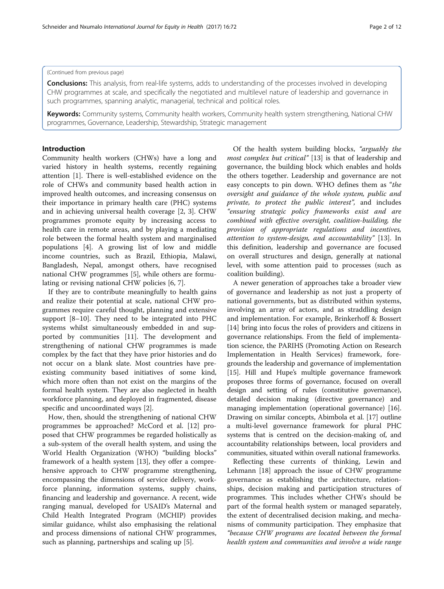#### (Continued from previous page)

**Conclusions:** This analysis, from real-life systems, adds to understanding of the processes involved in developing CHW programmes at scale, and specifically the negotiated and multilevel nature of leadership and governance in such programmes, spanning analytic, managerial, technical and political roles.

Keywords: Community systems, Community health workers, Community health system strengthening, National CHW programmes, Governance, Leadership, Stewardship, Strategic management

### Introduction

Community health workers (CHWs) have a long and varied history in health systems, recently regaining attention [[1\]](#page-10-0). There is well-established evidence on the role of CHWs and community based health action in improved health outcomes, and increasing consensus on their importance in primary health care (PHC) systems and in achieving universal health coverage [[2](#page-10-0), [3](#page-10-0)]. CHW programmes promote equity by increasing access to health care in remote areas, and by playing a mediating role between the formal health system and marginalised populations [[4\]](#page-10-0). A growing list of low and middle income countries, such as Brazil, Ethiopia, Malawi, Bangladesh, Nepal, amongst others, have recognised national CHW programmes [\[5](#page-10-0)], while others are formulating or revising national CHW policies [[6](#page-10-0), [7](#page-10-0)].

If they are to contribute meaningfully to health gains and realize their potential at scale, national CHW programmes require careful thought, planning and extensive support [\[8](#page-10-0)–[10\]](#page-10-0). They need to be integrated into PHC systems whilst simultaneously embedded in and supported by communities [\[11](#page-10-0)]. The development and strengthening of national CHW programmes is made complex by the fact that they have prior histories and do not occur on a blank slate. Most countries have preexisting community based initiatives of some kind, which more often than not exist on the margins of the formal health system. They are also neglected in health workforce planning, and deployed in fragmented, disease specific and uncoordinated ways [[2\]](#page-10-0).

How, then, should the strengthening of national CHW programmes be approached? McCord et al. [[12](#page-10-0)] proposed that CHW programmes be regarded holistically as a sub-system of the overall health system, and using the World Health Organization (WHO) "building blocks" framework of a health system [\[13](#page-10-0)], they offer a comprehensive approach to CHW programme strengthening, encompassing the dimensions of service delivery, workforce planning, information systems, supply chains, financing and leadership and governance. A recent, wide ranging manual, developed for USAID's Maternal and Child Health Integrated Program (MCHIP) provides similar guidance, whilst also emphasising the relational and process dimensions of national CHW programmes, such as planning, partnerships and scaling up [[5](#page-10-0)].

Of the health system building blocks, "arguably the most complex but critical" [[13](#page-10-0)] is that of leadership and governance, the building block which enables and holds the others together. Leadership and governance are not easy concepts to pin down. WHO defines them as "the oversight and guidance of the whole system, public and private, to protect the public interest", and includes "ensuring strategic policy frameworks exist and are combined with effective oversight, coalition-building, the provision of appropriate regulations and incentives, attention to system-design, and accountability" [\[13\]](#page-10-0). In this definition, leadership and governance are focused on overall structures and design, generally at national level, with some attention paid to processes (such as coalition building).

A newer generation of approaches take a broader view of governance and leadership as not just a property of national governments, but as distributed within systems, involving an array of actors, and as straddling design and implementation. For example, Brinkerhoff & Bossert [[14\]](#page-10-0) bring into focus the roles of providers and citizens in governance relationships. From the field of implementation science, the PARIHS (Promoting Action on Research Implementation in Health Services) framework, foregrounds the leadership and governance of implementation [[15](#page-10-0)]. Hill and Hupe's multiple governance framework proposes three forms of governance, focused on overall design and setting of rules (constitutive governance), detailed decision making (directive governance) and managing implementation (operational governance) [[16](#page-10-0)]. Drawing on similar concepts, Abimbola et al. [[17](#page-10-0)] outline a multi-level governance framework for plural PHC systems that is centred on the decision-making of, and accountability relationships between, local providers and communities, situated within overall national frameworks.

Reflecting these currents of thinking, Lewin and Lehmann [[18\]](#page-10-0) approach the issue of CHW programme governance as establishing the architecture, relationships, decision making and participation structures of programmes. This includes whether CHWs should be part of the formal health system or managed separately, the extent of decentralised decision making, and mechanisms of community participation. They emphasize that "because CHW programs are located between the formal health system and communities and involve a wide range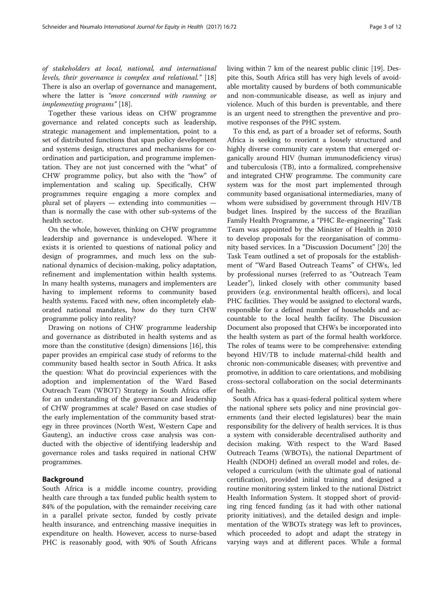of stakeholders at local, national, and international levels, their governance is complex and relational." [[18](#page-10-0)] There is also an overlap of governance and management, where the latter is "more concerned with running or implementing programs" [\[18](#page-10-0)].

Together these various ideas on CHW programme governance and related concepts such as leadership, strategic management and implementation, point to a set of distributed functions that span policy development and systems design, structures and mechanisms for coordination and participation, and programme implementation. They are not just concerned with the "what" of CHW programme policy, but also with the "how" of implementation and scaling up. Specifically, CHW programmes require engaging a more complex and plural set of players — extending into communities than is normally the case with other sub-systems of the health sector.

On the whole, however, thinking on CHW programme leadership and governance is undeveloped. Where it exists it is oriented to questions of national policy and design of programmes, and much less on the subnational dynamics of decision-making, policy adaptation, refinement and implementation within health systems. In many health systems, managers and implementers are having to implement reforms to community based health systems. Faced with new, often incompletely elaborated national mandates, how do they turn CHW programme policy into reality?

Drawing on notions of CHW programme leadership and governance as distributed in health systems and as more than the constitutive (design) dimensions [\[16](#page-10-0)], this paper provides an empirical case study of reforms to the community based health sector in South Africa. It asks the question: What do provincial experiences with the adoption and implementation of the Ward Based Outreach Team (WBOT) Strategy in South Africa offer for an understanding of the governance and leadership of CHW programmes at scale? Based on case studies of the early implementation of the community based strategy in three provinces (North West, Western Cape and Gauteng), an inductive cross case analysis was conducted with the objective of identifying leadership and governance roles and tasks required in national CHW programmes.

### Background

South Africa is a middle income country, providing health care through a tax funded public health system to 84% of the population, with the remainder receiving care in a parallel private sector, funded by costly private health insurance, and entrenching massive inequities in expenditure on health. However, access to nurse-based PHC is reasonably good, with 90% of South Africans living within 7 km of the nearest public clinic [\[19\]](#page-10-0). Despite this, South Africa still has very high levels of avoidable mortality caused by burdens of both communicable and non-communicable disease, as well as injury and violence. Much of this burden is preventable, and there is an urgent need to strengthen the preventive and promotive responses of the PHC system.

To this end, as part of a broader set of reforms, South Africa is seeking to reorient a loosely structured and highly diverse community care system that emerged organically around HIV (human immunodeficiency virus) and tuberculosis (TB), into a formalized, comprehensive and integrated CHW programme. The community care system was for the most part implemented through community based organisational intermediaries, many of whom were subsidised by government through HIV/TB budget lines. Inspired by the success of the Brazilian Family Health Programme, a "PHC Re-engineering" Task Team was appointed by the Minister of Health in 2010 to develop proposals for the reorganisation of community based services. In a "Discussion Document" [[20](#page-10-0)] the Task Team outlined a set of proposals for the establishment of "Ward Based Outreach Teams" of CHWs, led by professional nurses (referred to as "Outreach Team Leader"), linked closely with other community based providers (e.g. environmental health officers), and local PHC facilities. They would be assigned to electoral wards, responsible for a defined number of households and accountable to the local health facility. The Discussion Document also proposed that CHWs be incorporated into the health system as part of the formal health workforce. The roles of teams were to be comprehensive: extending beyond HIV/TB to include maternal-child health and chronic non-communicable diseases; with preventive and promotive, in addition to care orientations, and mobilising cross-sectoral collaboration on the social determinants of health.

South Africa has a quasi-federal political system where the national sphere sets policy and nine provincial governments (and their elected legislatures) bear the main responsibility for the delivery of health services. It is thus a system with considerable decentralised authority and decision making. With respect to the Ward Based Outreach Teams (WBOTs), the national Department of Health (NDOH) defined an overall model and roles, developed a curriculum (with the ultimate goal of national certification), provided initial training and designed a routine monitoring system linked to the national District Health Information System. It stopped short of providing ring fenced funding (as it had with other national priority initiatives), and the detailed design and implementation of the WBOTs strategy was left to provinces, which proceeded to adopt and adapt the strategy in varying ways and at different paces. While a formal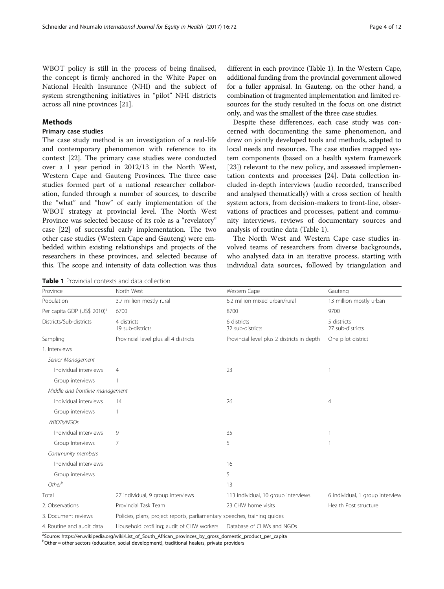WBOT policy is still in the process of being finalised, the concept is firmly anchored in the White Paper on National Health Insurance (NHI) and the subject of system strengthening initiatives in "pilot" NHI districts across all nine provinces [\[21\]](#page-10-0).

### Methods

### Primary case studies

The case study method is an investigation of a real-life and contemporary phenomenon with reference to its context [[22](#page-10-0)]. The primary case studies were conducted over a 1 year period in 2012/13 in the North West, Western Cape and Gauteng Provinces. The three case studies formed part of a national researcher collaboration, funded through a number of sources, to describe the "what" and "how" of early implementation of the WBOT strategy at provincial level. The North West Province was selected because of its role as a "revelatory" case [\[22\]](#page-10-0) of successful early implementation. The two other case studies (Western Cape and Gauteng) were embedded within existing relationships and projects of the researchers in these provinces, and selected because of this. The scope and intensity of data collection was thus

different in each province (Table 1). In the Western Cape, additional funding from the provincial government allowed for a fuller appraisal. In Gauteng, on the other hand, a combination of fragmented implementation and limited resources for the study resulted in the focus on one district only, and was the smallest of the three case studies.

Despite these differences, each case study was concerned with documenting the same phenomenon, and drew on jointly developed tools and methods, adapted to local needs and resources. The case studies mapped system components (based on a health system framework [[23\]](#page-10-0)) relevant to the new policy, and assessed implementation contexts and processes [[24](#page-10-0)]. Data collection included in-depth interviews (audio recorded, transcribed and analysed thematically) with a cross section of health system actors, from decision-makers to front-line, observations of practices and processes, patient and community interviews, reviews of documentary sources and analysis of routine data (Table 1).

The North West and Western Cape case studies involved teams of researchers from diverse backgrounds, who analysed data in an iterative process, starting with individual data sources, followed by triangulation and

| Province                                | North West                                                                | Western Cape                               | Gauteng                         |
|-----------------------------------------|---------------------------------------------------------------------------|--------------------------------------------|---------------------------------|
| Population                              | 3.7 million mostly rural                                                  | 6.2 million mixed urban/rural              | 13 million mostly urban         |
| Per capita GDP (US\$ 2010) <sup>a</sup> | 6700                                                                      | 8700                                       | 9700                            |
| Districts/Sub-districts                 | 4 districts<br>19 sub-districts                                           | 6 districts<br>32 sub-districts            | 5 districts<br>27 sub-districts |
| Sampling                                | Provincial level plus all 4 districts                                     | Provincial level plus 2 districts in depth | One pilot district              |
| 1. Interviews                           |                                                                           |                                            |                                 |
| Senior Management                       |                                                                           |                                            |                                 |
| Individual interviews                   | 4                                                                         | 23                                         | $\mathbf{1}$                    |
| Group interviews                        |                                                                           |                                            |                                 |
| Middle and frontline management         |                                                                           |                                            |                                 |
| Individual interviews                   | 14                                                                        | 26                                         | 4                               |
| Group interviews                        |                                                                           |                                            |                                 |
| <b>WBOTs/NGOs</b>                       |                                                                           |                                            |                                 |
| Individual interviews                   | 9                                                                         | 35                                         |                                 |
| Group Interviews                        | 7                                                                         | 5                                          |                                 |
| Community members                       |                                                                           |                                            |                                 |
| Individual interviews                   |                                                                           | 16                                         |                                 |
| Group interviews                        |                                                                           | 5                                          |                                 |
| Other <sup>b</sup>                      |                                                                           | 13                                         |                                 |
| Total                                   | 27 individual, 9 group interviews                                         | 113 individual, 10 group interviews        | 6 individual, 1 group interview |
| 2. Observations                         | Provincial Task Team                                                      | 23 CHW home visits                         | Health Post structure           |
| 3. Document reviews                     | Policies, plans, project reports, parliamentary speeches, training quides |                                            |                                 |
| 4. Routine and audit data               | Household profiling; audit of CHW workers                                 | Database of CHWs and NGOs                  |                                 |

Table 1 Provincial contexts and data collection

a<br>bource: [https://en.wikipedia.org/wiki/List\\_of\\_South\\_African\\_provinces\\_by\\_gross\\_domestic\\_product\\_per\\_capita](https://en.wikipedia.org/wiki/List_of_South_African_provinces_by_gross_domestic_product_per_capita)<sup>b</sup><br>pother = other sectors (education, social development), traditional bealers, private providers

<sup>b</sup>Other = other sectors (education, social development), traditional healers, private providers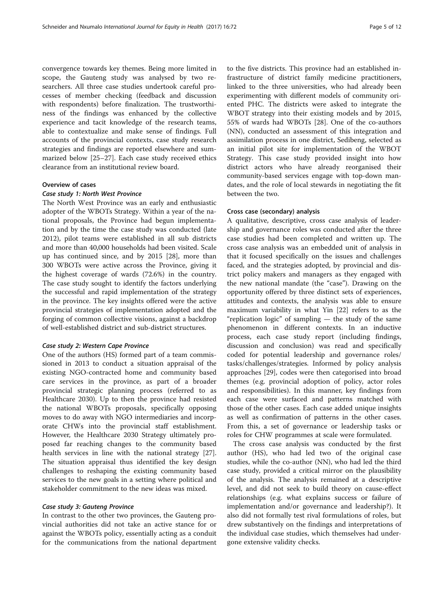convergence towards key themes. Being more limited in scope, the Gauteng study was analysed by two researchers. All three case studies undertook careful processes of member checking (feedback and discussion with respondents) before finalization. The trustworthiness of the findings was enhanced by the collective experience and tacit knowledge of the research teams, able to contextualize and make sense of findings. Full accounts of the provincial contexts, case study research strategies and findings are reported elsewhere and summarized below [\[25](#page-11-0)–[27\]](#page-11-0). Each case study received ethics clearance from an institutional review board.

### Overview of cases

### Case study 1: North West Province

The North West Province was an early and enthusiastic adopter of the WBOTs Strategy. Within a year of the national proposals, the Province had begun implementation and by the time the case study was conducted (late 2012), pilot teams were established in all sub districts and more than 40,000 households had been visited. Scale up has continued since, and by 2015 [[28\]](#page-11-0), more than 300 WBOTs were active across the Province, giving it the highest coverage of wards (72.6%) in the country. The case study sought to identify the factors underlying the successful and rapid implementation of the strategy in the province. The key insights offered were the active provincial strategies of implementation adopted and the forging of common collective visions, against a backdrop of well-established district and sub-district structures.

#### Case study 2: Western Cape Province

One of the authors (HS) formed part of a team commissioned in 2013 to conduct a situation appraisal of the existing NGO-contracted home and community based care services in the province, as part of a broader provincial strategic planning process (referred to as Healthcare 2030). Up to then the province had resisted the national WBOTs proposals, specifically opposing moves to do away with NGO intermediaries and incorporate CHWs into the provincial staff establishment. However, the Healthcare 2030 Strategy ultimately proposed far reaching changes to the community based health services in line with the national strategy [\[27](#page-11-0)]. The situation appraisal thus identified the key design challenges to reshaping the existing community based services to the new goals in a setting where political and stakeholder commitment to the new ideas was mixed.

#### Case study 3: Gauteng Province

In contrast to the other two provinces, the Gauteng provincial authorities did not take an active stance for or against the WBOTs policy, essentially acting as a conduit for the communications from the national department to the five districts. This province had an established infrastructure of district family medicine practitioners, linked to the three universities, who had already been experimenting with different models of community oriented PHC. The districts were asked to integrate the WBOT strategy into their existing models and by 2015, 55% of wards had WBOTs [[28\]](#page-11-0). One of the co-authors (NN), conducted an assessment of this integration and assimilation process in one district, Sedibeng, selected as an initial pilot site for implementation of the WBOT Strategy. This case study provided insight into how district actors who have already reorganised their community-based services engage with top-down mandates, and the role of local stewards in negotiating the fit between the two.

### Cross case (secondary) analysis

A qualitative, descriptive, cross case analysis of leadership and governance roles was conducted after the three case studies had been completed and written up. The cross case analysis was an embedded unit of analysis in that it focused specifically on the issues and challenges faced, and the strategies adopted, by provincial and district policy makers and managers as they engaged with the new national mandate (the "case"). Drawing on the opportunity offered by three distinct sets of experiences, attitudes and contexts, the analysis was able to ensure maximum variability in what Yin [[22](#page-10-0)] refers to as the "replication logic" of sampling — the study of the same phenomenon in different contexts. In an inductive process, each case study report (including findings, discussion and conclusion) was read and specifically coded for potential leadership and governance roles/ tasks/challenges/strategies. Informed by policy analysis approaches [\[29\]](#page-11-0), codes were then categorised into broad themes (e.g. provincial adoption of policy, actor roles and responsibilities). In this manner, key findings from each case were surfaced and patterns matched with those of the other cases. Each case added unique insights as well as confirmation of patterns in the other cases. From this, a set of governance or leadership tasks or roles for CHW programmes at scale were formulated.

The cross case analysis was conducted by the first author (HS), who had led two of the original case studies, while the co-author (NN), who had led the third case study, provided a critical mirror on the plausibility of the analysis. The analysis remained at a descriptive level, and did not seek to build theory on cause-effect relationships (e.g. what explains success or failure of implementation and/or governance and leadership?). It also did not formally test rival formulations of roles, but drew substantively on the findings and interpretations of the individual case studies, which themselves had undergone extensive validity checks.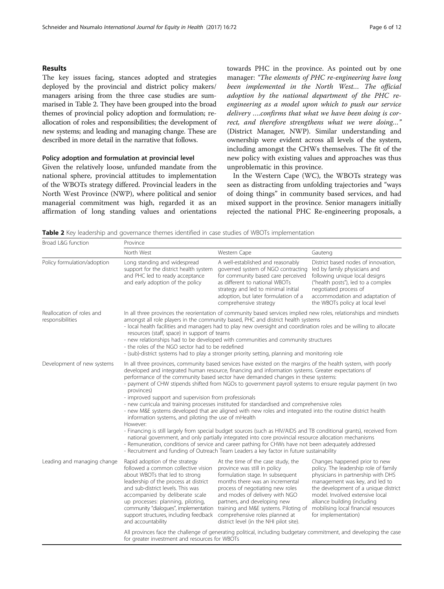### Results

The key issues facing, stances adopted and strategies deployed by the provincial and district policy makers/ managers arising from the three case studies are summarised in Table 2. They have been grouped into the broad themes of provincial policy adoption and formulation; reallocation of roles and responsibilities; the development of new systems; and leading and managing change. These are described in more detail in the narrative that follows.

### Policy adoption and formulation at provincial level

Given the relatively loose, unfunded mandate from the national sphere, provincial attitudes to implementation of the WBOTs strategy differed. Provincial leaders in the North West Province (NWP), where political and senior managerial commitment was high, regarded it as an affirmation of long standing values and orientations towards PHC in the province. As pointed out by one manager: "The elements of PHC re-engineering have long been implemented in the North West… The official adoption by the national department of the PHC reengineering as a model upon which to push our service delivery ….confirms that what we have been doing is correct, and therefore strengthens what we were doing…" (District Manager, NWP). Similar understanding and ownership were evident across all levels of the system, including amongst the CHWs themselves. The fit of the new policy with existing values and approaches was thus unproblematic in this province.

In the Western Cape (WC), the WBOTs strategy was seen as distracting from unfolding trajectories and "ways of doing things" in community based services, and had mixed support in the province. Senior managers initially rejected the national PHC Re-engineering proposals, a

**Table 2** Key leadership and governance themes identified in case studies of WBOTs implementation

| Broad L&G function                            | Province                                                                                                                                                                                                                                                                                                                                                                                                                                                                                                                                                                                                                                                                                                                                                                                                                                                                                                                                                                                                                                                                                                                                                                                                                |                                                                                                                                                                                                                                                                                                                                                                       |                                                                                                                                                                                                                                                                                                                          |  |
|-----------------------------------------------|-------------------------------------------------------------------------------------------------------------------------------------------------------------------------------------------------------------------------------------------------------------------------------------------------------------------------------------------------------------------------------------------------------------------------------------------------------------------------------------------------------------------------------------------------------------------------------------------------------------------------------------------------------------------------------------------------------------------------------------------------------------------------------------------------------------------------------------------------------------------------------------------------------------------------------------------------------------------------------------------------------------------------------------------------------------------------------------------------------------------------------------------------------------------------------------------------------------------------|-----------------------------------------------------------------------------------------------------------------------------------------------------------------------------------------------------------------------------------------------------------------------------------------------------------------------------------------------------------------------|--------------------------------------------------------------------------------------------------------------------------------------------------------------------------------------------------------------------------------------------------------------------------------------------------------------------------|--|
|                                               | North West                                                                                                                                                                                                                                                                                                                                                                                                                                                                                                                                                                                                                                                                                                                                                                                                                                                                                                                                                                                                                                                                                                                                                                                                              | Western Cape                                                                                                                                                                                                                                                                                                                                                          | Gauteng                                                                                                                                                                                                                                                                                                                  |  |
| Policy formulation/adoption                   | Long standing and widespread<br>support for the district health system<br>and PHC led to ready acceptance<br>and early adoption of the policy                                                                                                                                                                                                                                                                                                                                                                                                                                                                                                                                                                                                                                                                                                                                                                                                                                                                                                                                                                                                                                                                           | A well-established and reasonably<br>governed system of NGO contracting<br>for community based care perceived<br>as different to national WBOTs<br>strategy and led to minimal initial<br>adoption, but later formulation of a<br>comprehensive strategy                                                                                                              | District based nodes of innovation,<br>led by family physicians and<br>following unique local designs<br>("health posts"), led to a complex<br>negotiated process of<br>accommodation and adaptation of<br>the WBOTs policy at local level                                                                               |  |
| Reallocation of roles and<br>responsibilities | In all three provinces the reorientation of community based services implied new roles, relationships and mindsets<br>amongst all role players in the community based, PHC and district health systems<br>- local health facilities and managers had to play new oversight and coordination roles and be willing to allocate<br>resources (staff, space) in support of teams<br>- new relationships had to be developed with communities and community structures<br>- the roles of the NGO sector had to be redefined<br>- (sub)-district systems had to play a stronger priority setting, planning and monitoring role                                                                                                                                                                                                                                                                                                                                                                                                                                                                                                                                                                                                |                                                                                                                                                                                                                                                                                                                                                                       |                                                                                                                                                                                                                                                                                                                          |  |
| Development of new systems                    | In all three provinces, community based services have existed on the margins of the health system, with poorly<br>developed and integrated human resource, financing and information systems. Greater expectations of<br>performance of the community based sector have demanded changes in these systems:<br>- payment of CHW stipends shifted from NGOs to government payroll systems to ensure regular payment (in two<br>provinces)<br>- improved support and supervision from professionals<br>- new curricula and training processes instituted for standardised and comprehensive roles<br>- new M&E systems developed that are aligned with new roles and integrated into the routine district health<br>information systems, and piloting the use of mHealth<br>However:<br>- Financing is still largely from special budget sources (such as HIV/AIDS and TB conditional grants), received from<br>national government, and only partially integrated into core provincial resource allocation mechanisms<br>- Remuneration, conditions of service and career pathing for CHWs have not been adequately addressed<br>- Recruitment and funding of Outreach Team Leaders a key factor in future sustainability |                                                                                                                                                                                                                                                                                                                                                                       |                                                                                                                                                                                                                                                                                                                          |  |
| Leading and managing change                   | Rapid adoption of the strategy<br>followed a common collective vision<br>about WBOTs that led to strong<br>leadership of the process at district<br>and sub-district levels. This was<br>accompanied by deliberate scale<br>up processes: planning, piloting,<br>community "dialogues", implementation<br>support structures, including feedback<br>and accountability                                                                                                                                                                                                                                                                                                                                                                                                                                                                                                                                                                                                                                                                                                                                                                                                                                                  | At the time of the case study, the<br>province was still in policy<br>formulation stage. In subsequent<br>months there was an incremental<br>process of negotiating new roles<br>and modes of delivery with NGO<br>partners, and developing new<br>training and M&E systems. Piloting of<br>comprehensive roles planned at<br>district level (in the NHI pilot site). | Changes happened prior to new<br>policy. The leadership role of family<br>physicians in partnership with DHS<br>management was key, and led to<br>the development of a unique district<br>model. Involved extensive local<br>alliance building (including<br>mobilising local financial resources<br>for implementation) |  |
|                                               | All provinces face the challenge of generating political, including budgetary commitment, and developing the case<br>for greater investment and resources for WBOTs                                                                                                                                                                                                                                                                                                                                                                                                                                                                                                                                                                                                                                                                                                                                                                                                                                                                                                                                                                                                                                                     |                                                                                                                                                                                                                                                                                                                                                                       |                                                                                                                                                                                                                                                                                                                          |  |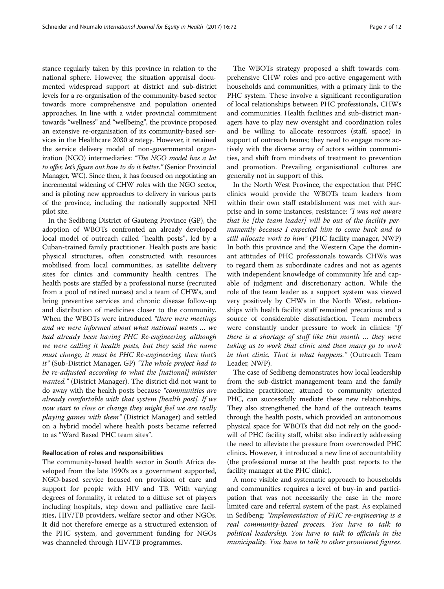stance regularly taken by this province in relation to the national sphere. However, the situation appraisal documented widespread support at district and sub-district levels for a re-organisation of the community-based sector towards more comprehensive and population oriented approaches. In line with a wider provincial commitment towards "wellness" and "wellbeing", the province proposed an extensive re-organisation of its community-based services in the Healthcare 2030 strategy. However, it retained the service delivery model of non-governmental organization (NGO) intermediaries: "The NGO model has a lot to offer, let's figure out how to do it better." (Senior Provincial Manager, WC). Since then, it has focused on negotiating an incremental widening of CHW roles with the NGO sector, and is piloting new approaches to delivery in various parts of the province, including the nationally supported NHI pilot site.

In the Sedibeng District of Gauteng Province (GP), the adoption of WBOTs confronted an already developed local model of outreach called "health posts", led by a Cuban-trained family practitioner. Health posts are basic physical structures, often constructed with resources mobilised from local communities, as satellite delivery sites for clinics and community health centres. The health posts are staffed by a professional nurse (recruited from a pool of retired nurses) and a team of CHWs, and bring preventive services and chronic disease follow-up and distribution of medicines closer to the community. When the WBOTs were introduced "there were meetings and we were informed about what national wants … we had already been having PHC Re-engineering, although we were calling it health posts, but they said the name must change, it must be PHC Re-engineering, then that's it" (Sub-District Manager, GP) "The whole project had to be re-adjusted according to what the [national] minister wanted." (District Manager). The district did not want to do away with the health posts because "communities are already comfortable with that system [health post]. If we now start to close or change they might feel we are really playing games with them" (District Manager) and settled on a hybrid model where health posts became referred to as "Ward Based PHC team sites".

### Reallocation of roles and responsibilities

The community-based health sector in South Africa developed from the late 1990's as a government supported, NGO-based service focused on provision of care and support for people with HIV and TB. With varying degrees of formality, it related to a diffuse set of players including hospitals, step down and palliative care facilities, HIV/TB providers, welfare sector and other NGOs. It did not therefore emerge as a structured extension of the PHC system, and government funding for NGOs was channeled through HIV/TB programmes.

The WBOTs strategy proposed a shift towards comprehensive CHW roles and pro-active engagement with households and communities, with a primary link to the PHC system. These involve a significant reconfiguration of local relationships between PHC professionals, CHWs and communities. Health facilities and sub-district managers have to play new oversight and coordination roles and be willing to allocate resources (staff, space) in support of outreach teams; they need to engage more actively with the diverse array of actors within communities, and shift from mindsets of treatment to prevention and promotion. Prevailing organisational cultures are generally not in support of this.

In the North West Province, the expectation that PHC clinics would provide the WBOTs team leaders from within their own staff establishment was met with surprise and in some instances, resistance: "I was not aware that he [the team leader] will be out of the facility permanently because I expected him to come back and to still allocate work to him" (PHC facility manager, NWP) In both this province and the Western Cape the dominant attitudes of PHC professionals towards CHWs was to regard them as subordinate cadres and not as agents with independent knowledge of community life and capable of judgment and discretionary action. While the role of the team leader as a support system was viewed very positively by CHWs in the North West, relationships with health facility staff remained precarious and a source of considerable dissatisfaction. Team members were constantly under pressure to work in clinics: "If there is a shortage of staff like this month … they were taking us to work that clinic and then many go to work in that clinic. That is what happens." (Outreach Team Leader, NWP).

The case of Sedibeng demonstrates how local leadership from the sub-district management team and the family medicine practitioner, attuned to community oriented PHC, can successfully mediate these new relationships. They also strengthened the hand of the outreach teams through the health posts, which provided an autonomous physical space for WBOTs that did not rely on the goodwill of PHC facility staff, whilst also indirectly addressing the need to alleviate the pressure from overcrowded PHC clinics. However, it introduced a new line of accountability (the professional nurse at the health post reports to the facility manager at the PHC clinic).

A more visible and systematic approach to households and communities requires a level of buy-in and participation that was not necessarily the case in the more limited care and referral system of the past. As explained in Sedibeng: "Implementation of PHC re-engineering is a real community-based process. You have to talk to political leadership. You have to talk to officials in the municipality. You have to talk to other prominent figures.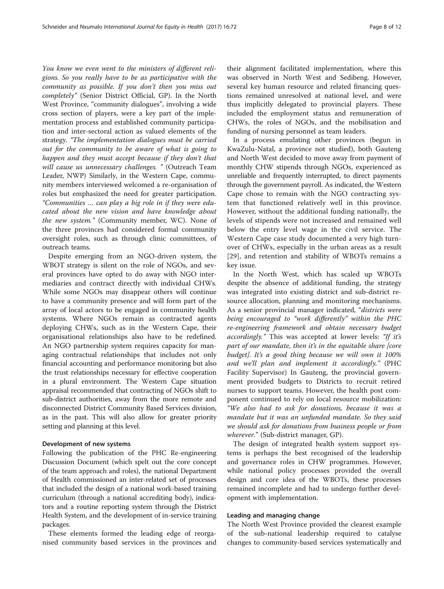You know we even went to the ministers of different religions. So you really have to be as participative with the community as possible. If you don't then you miss out completely" (Senior District Official, GP). In the North West Province, "community dialogues", involving a wide cross section of players, were a key part of the implementation process and established community participation and inter-sectoral action as valued elements of the strategy. "The implementation dialogues must be carried out for the community to be aware of what is going to happen and they must accept because if they don't that will cause us unnecessary challenges. " (Outreach Team Leader, NWP) Similarly, in the Western Cape, community members interviewed welcomed a re-organisation of roles but emphasized the need for greater participation. "Communities … can play a big role in if they were educated about the new vision and have knowledge about the new system." (Community member, WC). None of the three provinces had considered formal community oversight roles, such as through clinic committees, of outreach teams.

Despite emerging from an NGO-driven system, the WBOT strategy is silent on the role of NGOs, and several provinces have opted to do away with NGO intermediaries and contract directly with individual CHWs. While some NGOs may disappear others will continue to have a community presence and will form part of the array of local actors to be engaged in community health systems. Where NGOs remain as contracted agents deploying CHWs, such as in the Western Cape, their organisational relationships also have to be redefined. An NGO partnership system requires capacity for managing contractual relationships that includes not only financial accounting and performance monitoring but also the trust relationships necessary for effective cooperation in a plural environment. The Western Cape situation appraisal recommended that contracting of NGOs shift to sub-district authorities, away from the more remote and disconnected District Community Based Services division, as in the past. This will also allow for greater priority setting and planning at this level.

#### Development of new systems

Following the publication of the PHC Re-engineering Discussion Document (which spelt out the core concept of the team approach and roles), the national Department of Health commissioned an inter-related set of processes that included the design of a national work-based training curriculum (through a national accrediting body), indicators and a routine reporting system through the District Health System, and the development of in-service training packages.

These elements formed the leading edge of reorganised community based services in the provinces and

their alignment facilitated implementation, where this was observed in North West and Sedibeng. However, several key human resource and related financing questions remained unresolved at national level, and were thus implicitly delegated to provincial players. These included the employment status and remuneration of CHWs, the roles of NGOs, and the mobilisation and funding of nursing personnel as team leaders.

In a process emulating other provinces (begun in KwaZulu-Natal, a province not studied), both Gauteng and North West decided to move away from payment of monthly CHW stipends through NGOs, experienced as unreliable and frequently interrupted, to direct payments through the government payroll. As indicated, the Western Cape chose to remain with the NGO contracting system that functioned relatively well in this province. However, without the additional funding nationally, the levels of stipends were not increased and remained well below the entry level wage in the civil service. The Western Cape case study documented a very high turnover of CHWs, especially in the urban areas as a result [[29\]](#page-11-0), and retention and stability of WBOTs remains a key issue.

In the North West, which has scaled up WBOTs despite the absence of additional funding, the strategy was integrated into existing district and sub-district resource allocation, planning and monitoring mechanisms. As a senior provincial manager indicated, "districts were being encouraged to "work differently" within the PHC re-engineering framework and obtain necessary budget accordingly." This was accepted at lower levels: "If it's part of our mandate, then it's in the equitable share [core budget]. It's a good thing because we will own it 100% and we'll plan and implement it accordingly." (PHC Facility Supervisor) In Gauteng, the provincial government provided budgets to Districts to recruit retired nurses to support teams. However, the health post component continued to rely on local resource mobilization: "We also had to ask for donations, because it was a mandate but it was an unfunded mandate. So they said we should ask for donations from business people or from wherever." (Sub-district manager, GP).

The design of integrated health system support systems is perhaps the best recognised of the leadership and governance roles in CHW programmes. However, while national policy processes provided the overall design and core idea of the WBOTs, these processes remained incomplete and had to undergo further development with implementation.

### Leading and managing change

The North West Province provided the clearest example of the sub-national leadership required to catalyse changes to community-based services systematically and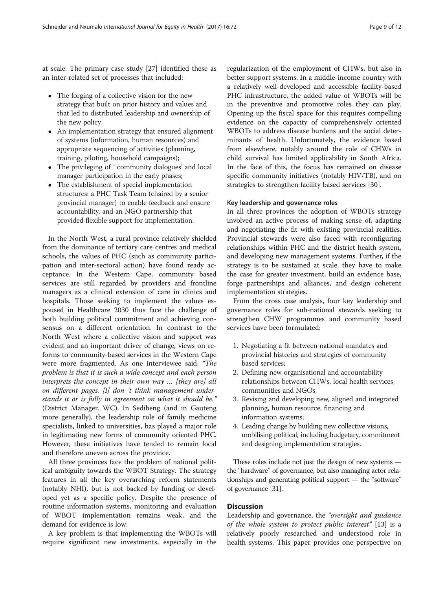at scale. The primary case study [[27\]](#page-11-0) identified these as an inter-related set of processes that included:

- The forging of a collective vision for the new strategy that built on prior history and values and that led to distributed leadership and ownership of the new policy;
- An implementation strategy that ensured alignment of systems (information, human resources) and appropriate sequencing of activities (planning, training, piloting, household campaigns);
- The privileging of ' community dialogues' and local manager participation in the early phases;
- The establishment of special implementation structures: a PHC Task Team (chaired by a senior provincial manager) to enable feedback and ensure accountability, and an NGO partnership that provided flexible support for implementation.

In the North West, a rural province relatively shielded from the dominance of tertiary care centres and medical schools, the values of PHC (such as community participation and inter-sectoral action) have found ready acceptance. In the Western Cape, community based services are still regarded by providers and frontline managers as a clinical extension of care in clinics and hospitals. Those seeking to implement the values espoused in Healthcare 2030 thus face the challenge of both building political commitment and achieving consensus on a different orientation. In contrast to the North West where a collective vision and support was evident and an important driver of change, views on reforms to community-based services in the Western Cape were more fragmented. As one interviewee said, "The problem is that it is such a wide concept and each person interprets the concept in their own way … [they are] all on different pages. [I] don 't think management understands it or is fully in agreement on what it should be." (District Manager, WC). In Sedibeng (and in Gauteng more generally), the leadership role of family medicine specialists, linked to universities, has played a major role in legitimating new forms of community oriented PHC. However, these initiatives have tended to remain local and therefore uneven across the province.

All three provinces face the problem of national political ambiguity towards the WBOT Strategy. The strategy features in all the key overarching reform statements (notably NHI), but is not backed by funding or developed yet as a specific policy. Despite the presence of routine information systems, monitoring and evaluation of WBOT implementation remains weak, and the demand for evidence is low.

A key problem is that implementing the WBOTs will require significant new investments, especially in the

regularization of the employment of CHWs, but also in better support systems. In a middle-income country with a relatively well-developed and accessible facility-based PHC infrastructure, the added value of WBOTs will be in the preventive and promotive roles they can play. Opening up the fiscal space for this requires compelling evidence on the capacity of comprehensively oriented WBOTs to address disease burdens and the social determinants of health. Unfortunately, the evidence based from elsewhere, notably around the role of CHWs in child survival has limited applicability in South Africa. In the face of this, the focus has remained on disease specific community initiatives (notably HIV/TB), and on strategies to strengthen facility based services [\[30\]](#page-11-0).

### Key leadership and governance roles

In all three provinces the adoption of WBOTs strategy involved an active process of making sense of, adapting and negotiating the fit with existing provincial realities. Provincial stewards were also faced with reconfiguring relationships within PHC and the district health system, and developing new management systems. Further, if the strategy is to be sustained at scale, they have to make the case for greater investment, build an evidence base, forge partnerships and alliances, and design coherent implementation strategies.

From the cross case analysis, four key leadership and governance roles for sub-national stewards seeking to strengthen CHW programmes and community based services have been formulated:

- 1. Negotiating a fit between national mandates and provincial histories and strategies of community based services;
- 2. Defining new organisational and accountability relationships between CHWs, local health services, communities and NGOs;
- 3. Revising and developing new, aligned and integrated planning, human resource, financing and information systems;
- 4. Leading change by building new collective visions, mobilising political, including budgetary, commitment and designing implementation strategies.

These roles include not just the design of new systems the "hardware" of governance, but also managing actor relationships and generating political support — the "software" of governance [\[31\]](#page-11-0).

### **Discussion**

Leadership and governance, the "oversight and guidance of the whole system to protect public interest" [\[13\]](#page-10-0) is a relatively poorly researched and understood role in health systems. This paper provides one perspective on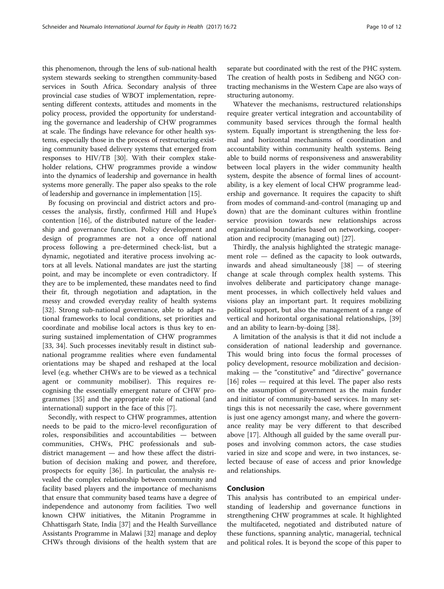this phenomenon, through the lens of sub-national health system stewards seeking to strengthen community-based services in South Africa. Secondary analysis of three provincial case studies of WBOT implementation, representing different contexts, attitudes and moments in the policy process, provided the opportunity for understanding the governance and leadership of CHW programmes at scale. The findings have relevance for other health systems, especially those in the process of restructuring existing community based delivery systems that emerged from responses to HIV/TB [\[30\]](#page-11-0). With their complex stakeholder relations, CHW programmes provide a window into the dynamics of leadership and governance in health systems more generally. The paper also speaks to the role of leadership and governance in implementation [[15](#page-10-0)].

By focusing on provincial and district actors and processes the analysis, firstly, confirmed Hill and Hupe's contention [[16\]](#page-10-0), of the distributed nature of the leadership and governance function. Policy development and design of programmes are not a once off national process following a pre-determined check-list, but a dynamic, negotiated and iterative process involving actors at all levels. National mandates are just the starting point, and may be incomplete or even contradictory. If they are to be implemented, these mandates need to find their fit, through negotiation and adaptation, in the messy and crowded everyday reality of health systems [[32\]](#page-11-0). Strong sub-national governance, able to adapt national frameworks to local conditions, set priorities and coordinate and mobilise local actors is thus key to ensuring sustained implementation of CHW programmes [[33, 34\]](#page-11-0). Such processes inevitably result in distinct subnational programme realities where even fundamental orientations may be shaped and reshaped at the local level (e.g. whether CHWs are to be viewed as a technical agent or community mobiliser). This requires recognising the essentially emergent nature of CHW programmes [\[35\]](#page-11-0) and the appropriate role of national (and international) support in the face of this [\[7\]](#page-10-0).

Secondly, with respect to CHW programmes, attention needs to be paid to the micro-level reconfiguration of roles, responsibilities and accountabilities — between communities, CHWs, PHC professionals and subdistrict management — and how these affect the distribution of decision making and power, and therefore, prospects for equity [[36\]](#page-11-0). In particular, the analysis revealed the complex relationship between community and facility based players and the importance of mechanisms that ensure that community based teams have a degree of independence and autonomy from facilities. Two well known CHW initiatives, the Mitanin Programme in Chhattisgarh State, India [[37](#page-11-0)] and the Health Surveillance Assistants Programme in Malawi [\[32](#page-11-0)] manage and deploy CHWs through divisions of the health system that are separate but coordinated with the rest of the PHC system. The creation of health posts in Sedibeng and NGO contracting mechanisms in the Western Cape are also ways of structuring autonomy.

Whatever the mechanisms, restructured relationships require greater vertical integration and accountability of community based services through the formal health system. Equally important is strengthening the less formal and horizontal mechanisms of coordination and accountability within community health systems. Being able to build norms of responsiveness and answerability between local players in the wider community health system, despite the absence of formal lines of accountability, is a key element of local CHW programme leadership and governance. It requires the capacity to shift from modes of command-and-control (managing up and down) that are the dominant cultures within frontline service provision towards new relationships across organizational boundaries based on networking, cooperation and reciprocity (managing out) [[27](#page-11-0)].

Thirdly, the analysis highlighted the strategic management role — defined as the capacity to look outwards, inwards and ahead simultaneously [[38](#page-11-0)] — of steering change at scale through complex health systems. This involves deliberate and participatory change management processes, in which collectively held values and visions play an important part. It requires mobilizing political support, but also the management of a range of vertical and horizontal organisational relationships, [[39](#page-11-0)] and an ability to learn-by-doing [[38](#page-11-0)].

A limitation of the analysis is that it did not include a consideration of national leadership and governance. This would bring into focus the formal processes of policy development, resource mobilization and decisionmaking — the "constitutive" and "directive" governance [[16\]](#page-10-0) roles — required at this level. The paper also rests on the assumption of government as the main funder and initiator of community-based services. In many settings this is not necessarily the case, where government is just one agency amongst many, and where the governance reality may be very different to that described above [[17](#page-10-0)]. Although all guided by the same overall purposes and involving common actors, the case studies varied in size and scope and were, in two instances, selected because of ease of access and prior knowledge and relationships.

### Conclusion

This analysis has contributed to an empirical understanding of leadership and governance functions in strengthening CHW programmes at scale. It highlighted the multifaceted, negotiated and distributed nature of these functions, spanning analytic, managerial, technical and political roles. It is beyond the scope of this paper to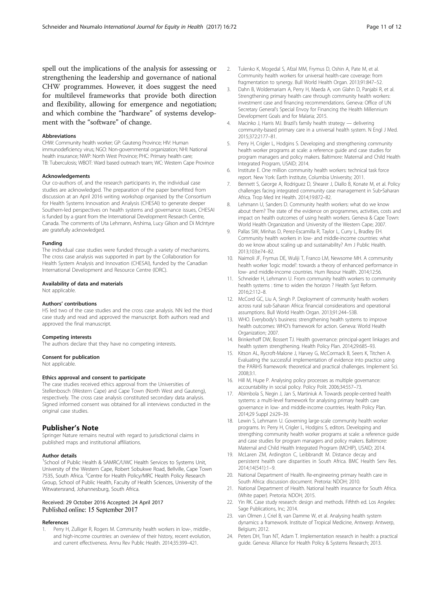<span id="page-10-0"></span>spell out the implications of the analysis for assessing or strengthening the leadership and governance of national CHW programmes. However, it does suggest the need for multilevel frameworks that provide both direction and flexibility, allowing for emergence and negotiation; and which combine the "hardware" of systems development with the "software" of change.

#### Abbreviations

CHW: Community health worker; GP: Gauteng Province; HIV: Human immunodeficiency virus; NGO: Non-governmental organization; NHI: National health insurance; NWP: North West Province; PHC: Primary health care; TB: Tuberculosis; WBOT: Ward based outreach team; WC: Western Cape Province

#### Acknowledgements

Our co-authors of, and the research participants in, the individual case studies are acknowledged. The preparation of the paper benefitted from discussion at an April 2016 writing workshop organised by the Consortium for Health Systems Innovation and Analysis (CHESAI) to generate deeper Southern-led perspectives on health systems and governance issues, CHESAI is funded by a grant from the International Development Research Centre, Canada. The comments of Uta Lehmann, Arshima, Lucy Gilson and Di McIntyre are gratefully acknowledged.

#### Funding

The individual case studies were funded through a variety of mechanisms. The cross case analysis was supported in part by the Collaboration for Health System Analysis and Innovation (CHESAI), funded by the Canadian International Development and Resource Centre (IDRC).

### Availability of data and materials

Not applicable.

#### Authors' contributions

HS led two of the case studies and the cross case analysis. NN led the third case study and read and approved the manuscript. Both authors read and approved the final manuscript.

#### Competing interests

The authors declare that they have no competing interests.

#### Consent for publication

Not applicable.

### Ethics approval and consent to participate

The case studies received ethics approval from the Universities of Stellenbosch (Western Cape) and Cape Town (North West and Gauteng), respectively. The cross case analysis constituted secondary data analysis. Signed informed consent was obtained for all interviews conducted in the original case studies.

### Publisher's Note

Springer Nature remains neutral with regard to jurisdictional claims in published maps and institutional affiliations.

#### Author details

<sup>1</sup>School of Public Health & SAMRC/UWC Health Services to Systems Unit, University of the Western Cape, Robert Sobukwe Road, Bellville, Cape Town 7535, South Africa. <sup>2</sup>Centre for Health Policy/MRC Health Policy Research Group, School of Public Health, Faculty of Health Sciences, University of the Witwatersrand, Johannesburg, South Africa.

### Received: 29 October 2016 Accepted: 24 April 2017 Published online: 15 September 2017

#### References

Perry H, Zulliger R, Rogers M. Community health workers in low-, middle-, and high-income countries: an overview of their history, recent evolution, and current effectiveness. Annu Rev Public Health. 2014;35:399–421.

- 2. Tulenko K, Mogedal S, Afzal MM, Frymus D, Oshin A, Pate M, et al. Community health workers for universal health-care coverage: from fragmentation to synergy. Bull World Health Organ. 2013;91:847–52.
- 3. Dahn B, Woldemariam A, Perry H, Maeda A, von Glahn D, Panjabi R, et al. Strengthening primary health care through community health workers: investment case and financing recommendations. Geneva: Office of UN Secretary General's Special Envoy for Financing the Health Millennium Development Goals and for Malaria; 2015.
- 4. Macinko J, Harris MJ. Brazil's family health strategy delivering community-based primary care in a universal health system. N Engl J Med. 2015;372:2177–81.
- 5. Perry H, Crigler L, Hodgins S. Developing and strengthening community health worker programs at scale: a reference guide and case studies for program managers and policy makers. Baltimore: Maternal and Child Health Integrated Program, USAID; 2014.
- 6. Institute E. One million community health workers: technical task force report. New York: Earth Institute, Columbia University; 2011.
- 7. Bennett S, George A, Rodriguez D, Shearer J, Diallo B, Konate M, et al. Policy challenges facing integrated community case management in Sub‐Saharan Africa. Trop Med Int Health. 2014;19:872–82.
- 8. Lehmann U, Sanders D. Community health workers: what do we know about them? The state of the evidence on programmes, activities, costs and impact on health outcomes of using health workers. Geneva & Cape Town: World Health Organization and University of the Western Cape; 2007.
- Pallas SW, Minhas D, Perez-Escamilla R, Taylor L, Curry L, Bradley EH. Community health workers in low- and middle-income countries: what do we know about scaling up and sustainability? Am J Public Health. 2013;103:e74–82.
- 10. Naimoli JF, Frymus DE, Wuliji T, Franco LM, Newsome MH. A community health worker 'logic model': towards a theory of enhanced performance in low- and middle-income countries. Hum Resour Health. 2014;12:56.
- 11. Schneider H, Lehmann U. From community health workers to community health systems : time to widen the horizon ? Health Syst Reform. 2016;2:112–8.
- 12. McCord GC, Liu A, Singh P. Deployment of community health workers across rural sub-Saharan Africa: financial considerations and operational assumptions. Bull World Health Organ. 2013;91:244–53B.
- 13. WHO. Everybody's business: strengthening health systems to improve health outcomes: WHO's framework for action. Geneva: World Health Organization; 2007.
- 14. Brinkerhoff DW, Bossert TJ. Health governance: principal-agent linkages and health system strengthening. Health Policy Plan. 2014;29:685–93.
- 15. Kitson AL, Rycroft-Malone J, Harvey G, McCormack B, Seers K, Titchen A. Evaluating the successful implementation of evidence into practice using the PARiHS framework: theoretical and practical challenges. Implement Sci. 2008;3:1.
- 16. Hill M, Hupe P. Analysing policy processes as multiple governance: accountability in social policy. Policy Polit. 2006;34:557–73.
- 17. Abimbola S, Negin J, Jan S, Martiniuk A. Towards people-centred health systems: a multi-level framework for analysing primary health care governance in low- and middle-income countries. Health Policy Plan. 2014;29 Suppl 2:ii29–39.
- 18. Lewin S, Lehmann U. Governing large-scale community health worker programs. In: Perry H, Crigler L, Hodgins S, editors. Developing and strengthing community health worker programs at scale: a reference guide and case studies for program managers and policy makers. Baltimore: Maternal and Child Health Integrated Program (MCHIP), USAID; 2014.
- 19. McLaren ZM, Ardington C, Leibbrandt M. Distance decay and persistent health care disparities in South Africa. BMC Health Serv Res. 2014;14(541):1–9.
- 20. National Department of Health. Re-engineering primary health care in South Africa: discussion document. Pretoria: NDOH; 2010.
- 21. National Department of Health. National health insurance for South Africa. (White paper). Pretoria: NDOH; 2015.
- 22. Yin RK. Case study research: design and methods. Fifthth ed. Los Angeles: Sage Publications, Inc; 2014.
- 23. van Olmen J, Criel B, van Damme W, et al. Analysing health system dynamics: a framework. Institute of Tropical Medicine, Antwerp: Antwerp, Belgium; 2012.
- 24. Peters DH, Tran NT, Adam T. Implementation research in health: a practical guide. Geneva: Alliance for Health Policy & Systems Research; 2013.